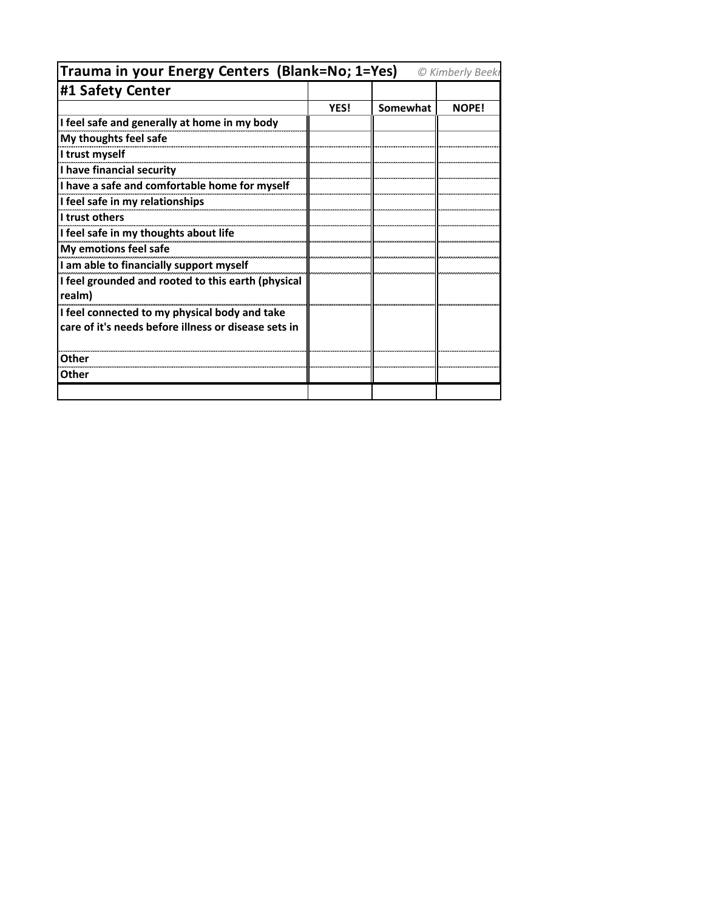| Trauma in your Energy Centers (Blank=No; 1=Yes)<br>© Kimberly Beekı |      |          |              |
|---------------------------------------------------------------------|------|----------|--------------|
| #1 Safety Center                                                    |      |          |              |
|                                                                     | YES! | Somewhat | <b>NOPE!</b> |
| I feel safe and generally at home in my body                        |      |          |              |
| My thoughts feel safe                                               |      |          |              |
| I trust myself                                                      |      |          |              |
| I have financial security                                           |      |          |              |
| I have a safe and comfortable home for myself                       |      |          |              |
| I feel safe in my relationships                                     |      |          |              |
| I trust others                                                      |      |          |              |
| I feel safe in my thoughts about life                               |      |          |              |
| My emotions feel safe                                               |      |          |              |
| I am able to financially support myself                             |      |          |              |
| I feel grounded and rooted to this earth (physical<br>realm)        |      |          |              |
| I feel connected to my physical body and take                       |      |          |              |
| care of it's needs before illness or disease sets in                |      |          |              |
| Other                                                               |      |          |              |
| Other                                                               |      |          |              |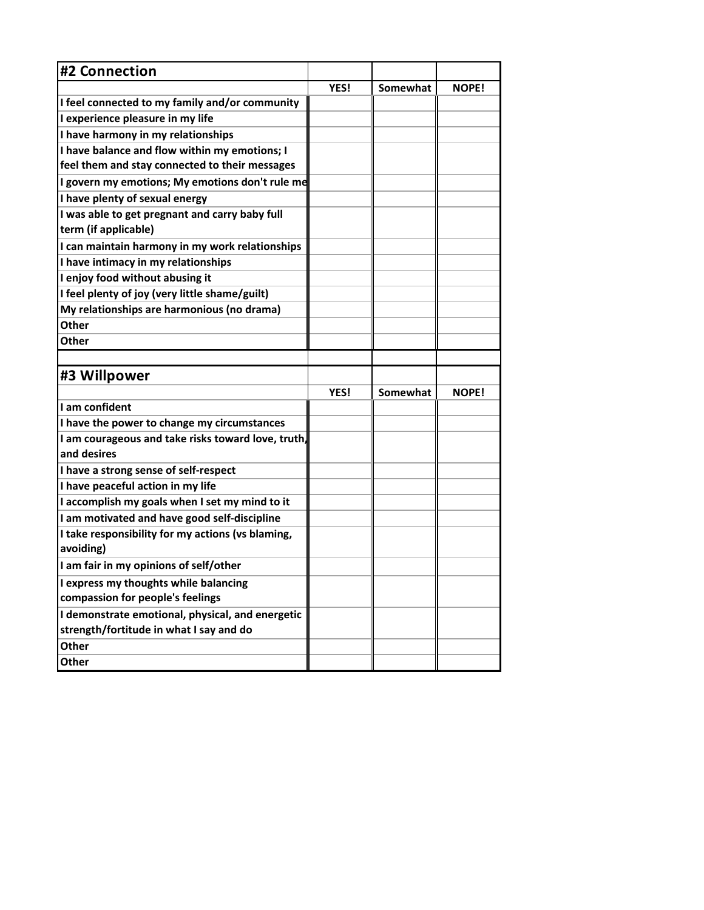| #2 Connection                                                          |      |          |              |
|------------------------------------------------------------------------|------|----------|--------------|
|                                                                        | YES! | Somewhat | <b>NOPE!</b> |
| I feel connected to my family and/or community                         |      |          |              |
| I experience pleasure in my life                                       |      |          |              |
| I have harmony in my relationships                                     |      |          |              |
| I have balance and flow within my emotions; I                          |      |          |              |
| feel them and stay connected to their messages                         |      |          |              |
| I govern my emotions; My emotions don't rule me                        |      |          |              |
| I have plenty of sexual energy                                         |      |          |              |
| I was able to get pregnant and carry baby full<br>term (if applicable) |      |          |              |
| I can maintain harmony in my work relationships                        |      |          |              |
| I have intimacy in my relationships                                    |      |          |              |
| I enjoy food without abusing it                                        |      |          |              |
| I feel plenty of joy (very little shame/guilt)                         |      |          |              |
| My relationships are harmonious (no drama)                             |      |          |              |
| Other                                                                  |      |          |              |
| Other                                                                  |      |          |              |
|                                                                        |      |          |              |
|                                                                        |      |          |              |
| #3 Willpower                                                           |      |          |              |
|                                                                        | YES! | Somewhat | <b>NOPE!</b> |
| I am confident                                                         |      |          |              |
| I have the power to change my circumstances                            |      |          |              |
| I am courageous and take risks toward love, truth,                     |      |          |              |
| and desires                                                            |      |          |              |
| I have a strong sense of self-respect                                  |      |          |              |
| I have peaceful action in my life                                      |      |          |              |
| I accomplish my goals when I set my mind to it                         |      |          |              |
| I am motivated and have good self-discipline                           |      |          |              |
| I take responsibility for my actions (vs blaming,<br>avoiding)         |      |          |              |
| I am fair in my opinions of self/other                                 |      |          |              |
| I express my thoughts while balancing                                  |      |          |              |
| compassion for people's feelings                                       |      |          |              |
| I demonstrate emotional, physical, and energetic                       |      |          |              |
| strength/fortitude in what I say and do                                |      |          |              |
| Other                                                                  |      |          |              |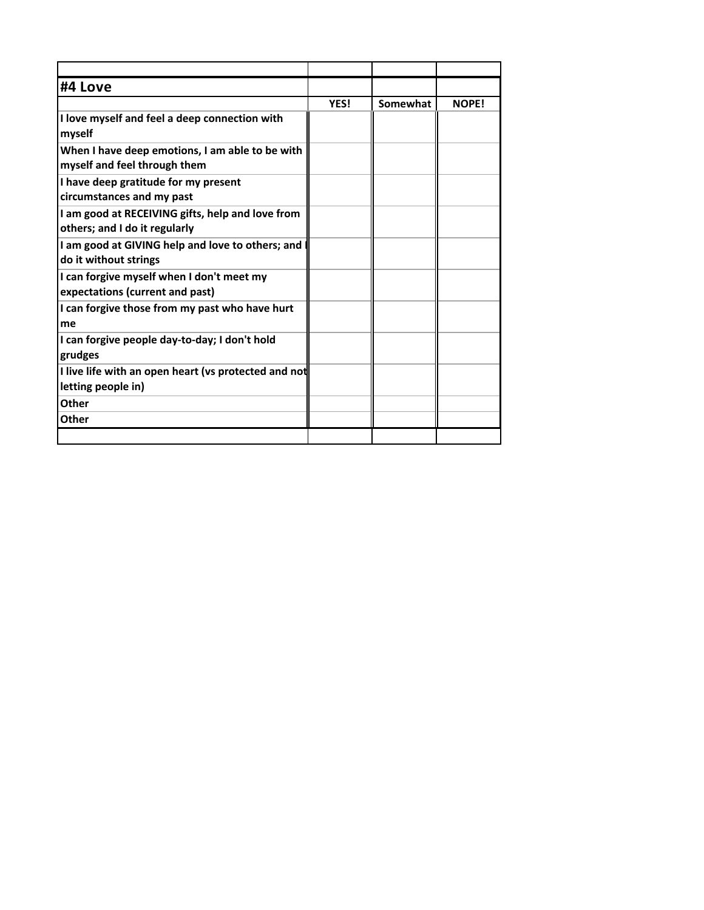| #4 Love                                                                           |      |          |              |
|-----------------------------------------------------------------------------------|------|----------|--------------|
|                                                                                   | YES! | Somewhat | <b>NOPE!</b> |
| I love myself and feel a deep connection with<br>myself                           |      |          |              |
| When I have deep emotions, I am able to be with<br>myself and feel through them   |      |          |              |
| I have deep gratitude for my present<br>circumstances and my past                 |      |          |              |
| I am good at RECEIVING gifts, help and love from<br>others; and I do it regularly |      |          |              |
| I am good at GIVING help and love to others; and<br>do it without strings         |      |          |              |
| I can forgive myself when I don't meet my<br>expectations (current and past)      |      |          |              |
| I can forgive those from my past who have hurt<br>me                              |      |          |              |
| I can forgive people day-to-day; I don't hold<br>grudges                          |      |          |              |
| I live life with an open heart (vs protected and not<br>letting people in)        |      |          |              |
| Other                                                                             |      |          |              |
| Other                                                                             |      |          |              |
|                                                                                   |      |          |              |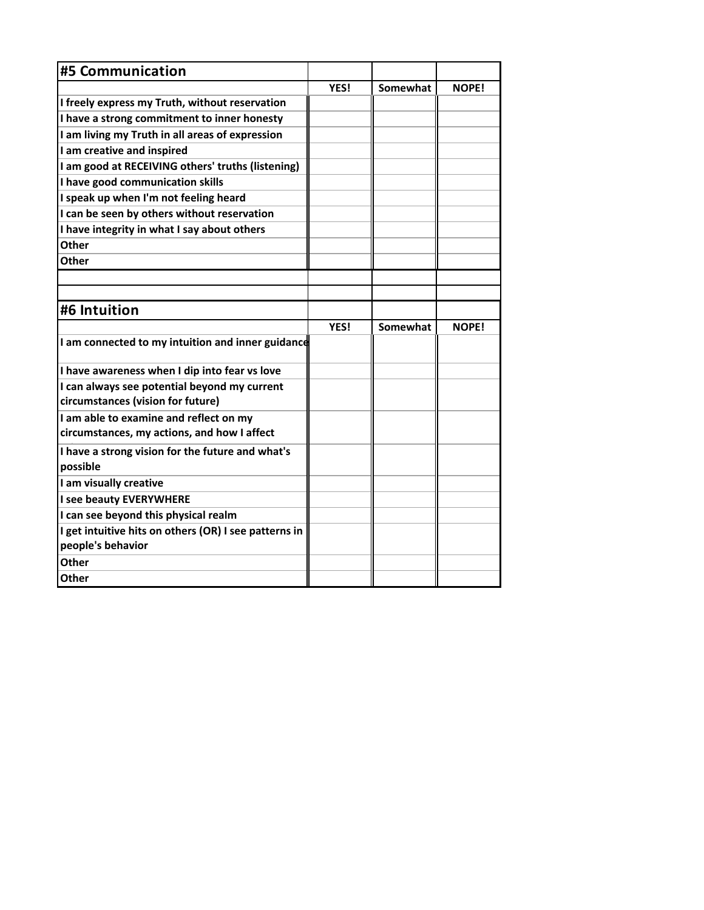| <b>#5 Communication</b>                               |      |          |              |
|-------------------------------------------------------|------|----------|--------------|
|                                                       | YES! | Somewhat | <b>NOPE!</b> |
| I freely express my Truth, without reservation        |      |          |              |
| I have a strong commitment to inner honesty           |      |          |              |
| I am living my Truth in all areas of expression       |      |          |              |
| I am creative and inspired                            |      |          |              |
| I am good at RECEIVING others' truths (listening)     |      |          |              |
| I have good communication skills                      |      |          |              |
| I speak up when I'm not feeling heard                 |      |          |              |
| I can be seen by others without reservation           |      |          |              |
| I have integrity in what I say about others           |      |          |              |
| <b>Other</b>                                          |      |          |              |
| <b>Other</b>                                          |      |          |              |
|                                                       |      |          |              |
|                                                       |      |          |              |
| #6 Intuition                                          |      |          |              |
|                                                       | YES! | Somewhat | <b>NOPE!</b> |
| I am connected to my intuition and inner guidance     |      |          |              |
| I have awareness when I dip into fear vs love         |      |          |              |
| I can always see potential beyond my current          |      |          |              |
| circumstances (vision for future)                     |      |          |              |
| I am able to examine and reflect on my                |      |          |              |
| circumstances, my actions, and how I affect           |      |          |              |
| I have a strong vision for the future and what's      |      |          |              |
| possible                                              |      |          |              |
| I am visually creative                                |      |          |              |
| I see beauty EVERYWHERE                               |      |          |              |
| I can see beyond this physical realm                  |      |          |              |
| I get intuitive hits on others (OR) I see patterns in |      |          |              |
| people's behavior                                     |      |          |              |
| Other                                                 |      |          |              |
| <b>Other</b>                                          |      |          |              |